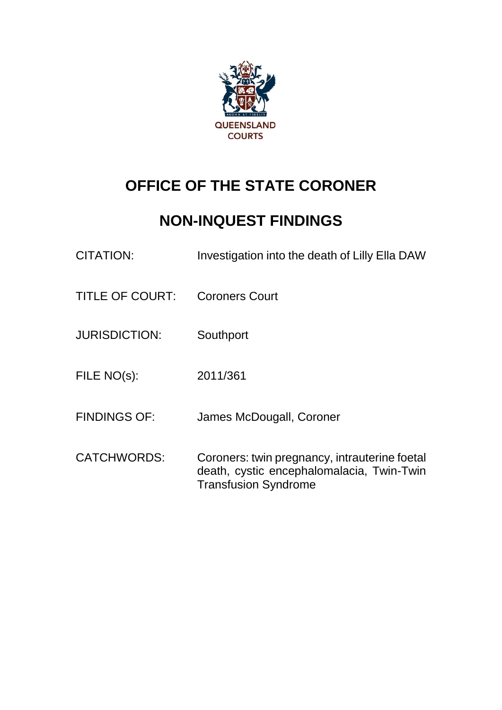

## **OFFICE OF THE STATE CORONER**

## **NON-INQUEST FINDINGS**

| <b>CITATION:</b>       | Investigation into the death of Lilly Ella DAW                                                                            |
|------------------------|---------------------------------------------------------------------------------------------------------------------------|
| <b>TITLE OF COURT:</b> | <b>Coroners Court</b>                                                                                                     |
| <b>JURISDICTION:</b>   | Southport                                                                                                                 |
| FILE NO(s):            | 2011/361                                                                                                                  |
| <b>FINDINGS OF:</b>    | James McDougall, Coroner                                                                                                  |
| <b>CATCHWORDS:</b>     | Coroners: twin pregnancy, intrauterine foetal<br>death, cystic encephalomalacia, Twin-Twin<br><b>Transfusion Syndrome</b> |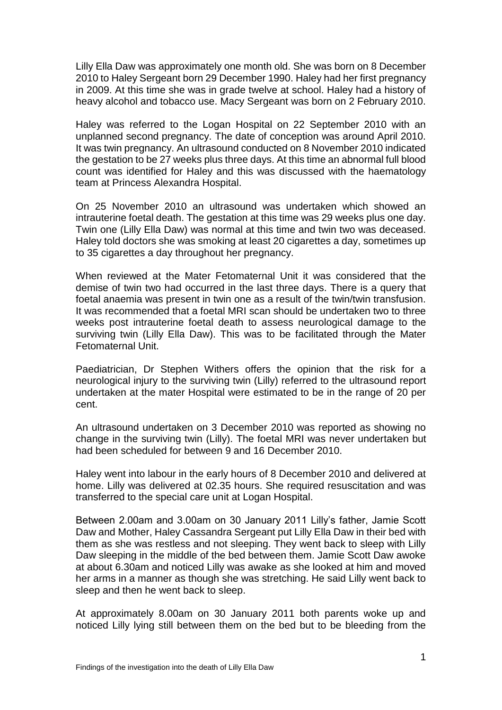Lilly Ella Daw was approximately one month old. She was born on 8 December 2010 to Haley Sergeant born 29 December 1990. Haley had her first pregnancy in 2009. At this time she was in grade twelve at school. Haley had a history of heavy alcohol and tobacco use. Macy Sergeant was born on 2 February 2010.

Haley was referred to the Logan Hospital on 22 September 2010 with an unplanned second pregnancy. The date of conception was around April 2010. It was twin pregnancy. An ultrasound conducted on 8 November 2010 indicated the gestation to be 27 weeks plus three days. At this time an abnormal full blood count was identified for Haley and this was discussed with the haematology team at Princess Alexandra Hospital.

On 25 November 2010 an ultrasound was undertaken which showed an intrauterine foetal death. The gestation at this time was 29 weeks plus one day. Twin one (Lilly Ella Daw) was normal at this time and twin two was deceased. Haley told doctors she was smoking at least 20 cigarettes a day, sometimes up to 35 cigarettes a day throughout her pregnancy.

When reviewed at the Mater Fetomaternal Unit it was considered that the demise of twin two had occurred in the last three days. There is a query that foetal anaemia was present in twin one as a result of the twin/twin transfusion. It was recommended that a foetal MRI scan should be undertaken two to three weeks post intrauterine foetal death to assess neurological damage to the surviving twin (Lilly Ella Daw). This was to be facilitated through the Mater Fetomaternal Unit.

Paediatrician, Dr Stephen Withers offers the opinion that the risk for a neurological injury to the surviving twin (Lilly) referred to the ultrasound report undertaken at the mater Hospital were estimated to be in the range of 20 per cent.

An ultrasound undertaken on 3 December 2010 was reported as showing no change in the surviving twin (Lilly). The foetal MRI was never undertaken but had been scheduled for between 9 and 16 December 2010.

Haley went into labour in the early hours of 8 December 2010 and delivered at home. Lilly was delivered at 02.35 hours. She required resuscitation and was transferred to the special care unit at Logan Hospital.

Between 2.00am and 3.00am on 30 January 2011 Lilly's father, Jamie Scott Daw and Mother, Haley Cassandra Sergeant put Lilly Ella Daw in their bed with them as she was restless and not sleeping. They went back to sleep with Lilly Daw sleeping in the middle of the bed between them. Jamie Scott Daw awoke at about 6.30am and noticed Lilly was awake as she looked at him and moved her arms in a manner as though she was stretching. He said Lilly went back to sleep and then he went back to sleep.

At approximately 8.00am on 30 January 2011 both parents woke up and noticed Lilly lying still between them on the bed but to be bleeding from the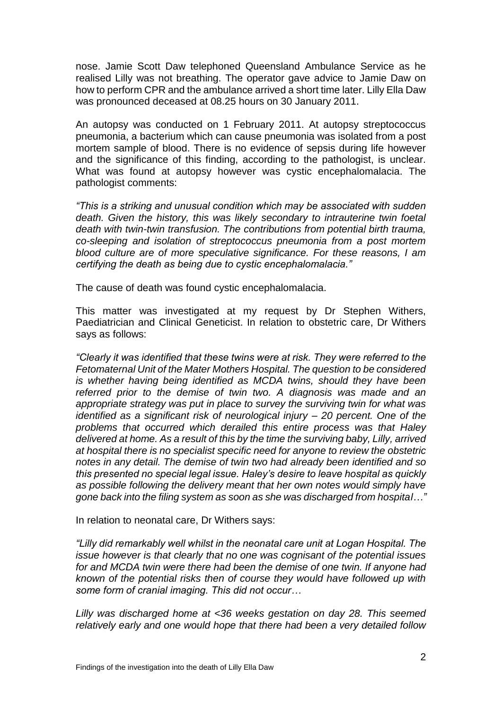nose. Jamie Scott Daw telephoned Queensland Ambulance Service as he realised Lilly was not breathing. The operator gave advice to Jamie Daw on how to perform CPR and the ambulance arrived a short time later. Lilly Ella Daw was pronounced deceased at 08.25 hours on 30 January 2011.

An autopsy was conducted on 1 February 2011. At autopsy streptococcus pneumonia, a bacterium which can cause pneumonia was isolated from a post mortem sample of blood. There is no evidence of sepsis during life however and the significance of this finding, according to the pathologist, is unclear. What was found at autopsy however was cystic encephalomalacia. The pathologist comments:

*"This is a striking and unusual condition which may be associated with sudden death. Given the history, this was likely secondary to intrauterine twin foetal death with twin-twin transfusion. The contributions from potential birth trauma, co-sleeping and isolation of streptococcus pneumonia from a post mortem blood culture are of more speculative significance. For these reasons, I am certifying the death as being due to cystic encephalomalacia."* 

The cause of death was found cystic encephalomalacia.

This matter was investigated at my request by Dr Stephen Withers, Paediatrician and Clinical Geneticist. In relation to obstetric care, Dr Withers says as follows:

*"Clearly it was identified that these twins were at risk. They were referred to the Fetomaternal Unit of the Mater Mothers Hospital. The question to be considered is whether having being identified as MCDA twins, should they have been referred prior to the demise of twin two. A diagnosis was made and an appropriate strategy was put in place to survey the surviving twin for what was identified as a significant risk of neurological injury – 20 percent. One of the problems that occurred which derailed this entire process was that Haley delivered at home. As a result of this by the time the surviving baby, Lilly, arrived at hospital there is no specialist specific need for anyone to review the obstetric notes in any detail. The demise of twin two had already been identified and so this presented no special legal issue. Haley's desire to leave hospital as quickly as possible following the delivery meant that her own notes would simply have gone back into the filing system as soon as she was discharged from hospital…"*

In relation to neonatal care, Dr Withers says:

*"Lilly did remarkably well whilst in the neonatal care unit at Logan Hospital. The issue however is that clearly that no one was cognisant of the potential issues for and MCDA twin were there had been the demise of one twin. If anyone had known of the potential risks then of course they would have followed up with some form of cranial imaging. This did not occur…*

*Lilly was discharged home at <36 weeks gestation on day 28. This seemed relatively early and one would hope that there had been a very detailed follow*